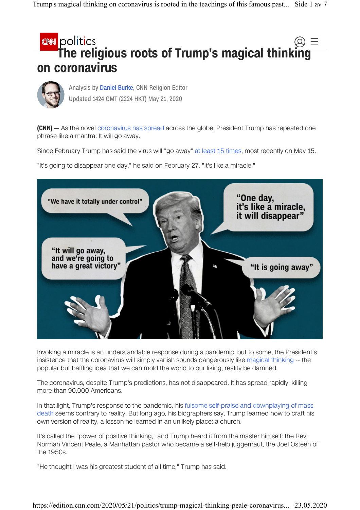## **CNN** politics The religious roots of Trump's magical thinking on coronavirus



Updated 1424 GMT (2224 HKT) May 21, 2020 Analysis by Daniel Burke, CNN Religion Editor

(CNN) – As the novel coronavirus has spread across the globe, President Trump has repeated one phrase like a mantra: It will go away.

Since February Trump has said the virus will "go away" at least 15 times, most recently on May 15.

"It's going to disappear one day," he said on February 27. "It's like a miracle."



Invoking a miracle is an understandable response during a pandemic, but to some, the President's insistence that the coronavirus will simply vanish sounds dangerously like magical thinking -- the popular but baffling idea that we can mold the world to our liking, reality be damned.

The coronavirus, despite Trump's predictions, has not disappeared. It has spread rapidly, killing more than 90,000 Americans.

In that light, Trump's response to the pandemic, his fulsome self-praise and downplaying of mass death seems contrary to reality. But long ago, his biographers say, Trump learned how to craft his own version of reality, a lesson he learned in an unlikely place: a church.

It's called the "power of positive thinking," and Trump heard it from the master himself: the Rev. Norman Vincent Peale, a Manhattan pastor who became a self-help juggernaut, the Joel Osteen of the 1950s.

"He thought I was his greatest student of all time," Trump has said.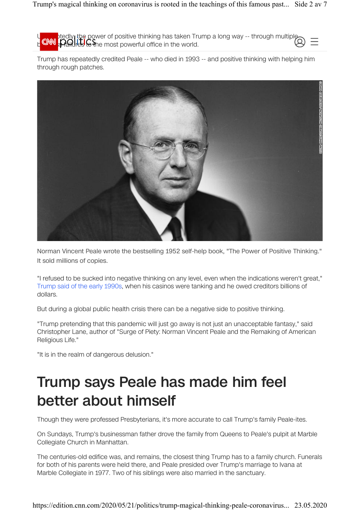$U_{\rm max}$ , btedly, the power of positive thinking has taken Trump a long way -- through multipleb<sup>using</sup> strailless to the most powerful office in the world.

Trump has repeatedly credited Peale -- who died in 1993 -- and positive thinking with helping him through rough patches.



Norman Vincent Peale wrote the bestselling 1952 self-help book, "The Power of Positive Thinking." It sold millions of copies.

"I refused to be sucked into negative thinking on any level, even when the indications weren't great," Trump said of the early 1990s, when his casinos were tanking and he owed creditors billions of dollars.

But during a global public health crisis there can be a negative side to positive thinking.

"Trump pretending that this pandemic will just go away is not just an unacceptable fantasy," said Christopher Lane, author of "Surge of Piety: Norman Vincent Peale and the Remaking of American Religious Life."

"It is in the realm of dangerous delusion."

## Trump says Peale has made him feel better about himself

Though they were professed Presbyterians, it's more accurate to call Trump's family Peale-ites.

On Sundays, Trump's businessman father drove the family from Queens to Peale's pulpit at Marble Collegiate Church in Manhattan.

The centuries-old edifice was, and remains, the closest thing Trump has to a family church. Funerals for both of his parents were held there, and Peale presided over Trump's marriage to Ivana at Marble Collegiate in 1977. Two of his siblings were also married in the sanctuary.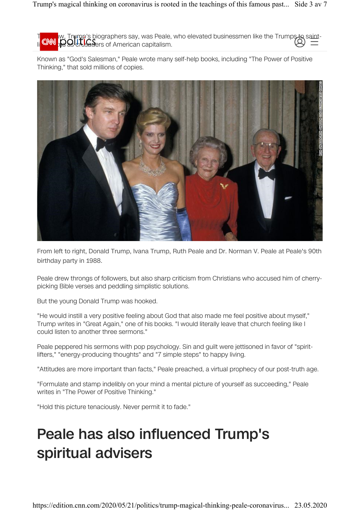Trump's biographers say, was Peale, who elevated businessmen like the Trumps to saint- $\mathsf{R}\cup\mathsf{R}$  setatus as a American capitalism.

Known as "God's Salesman," Peale wrote many self-help books, including "The Power of Positive Thinking," that sold millions of copies.



From left to right, Donald Trump, Ivana Trump, Ruth Peale and Dr. Norman V. Peale at Peale's 90th birthday party in 1988.

Peale drew throngs of followers, but also sharp criticism from Christians who accused him of cherrypicking Bible verses and peddling simplistic solutions.

But the young Donald Trump was hooked.

"He would instill a very positive feeling about God that also made me feel positive about myself," Trump writes in "Great Again," one of his books. "I would literally leave that church feeling like I could listen to another three sermons."

Peale peppered his sermons with pop psychology. Sin and guilt were jettisoned in favor of "spiritlifters," "energy-producing thoughts" and "7 simple steps" to happy living.

"Attitudes are more important than facts," Peale preached, a virtual prophecy of our post-truth age.

"Formulate and stamp indelibly on your mind a mental picture of yourself as succeeding," Peale writes in "The Power of Positive Thinking."

"Hold this picture tenaciously. Never permit it to fade."

## Peale has also influenced Trump's spiritual advisers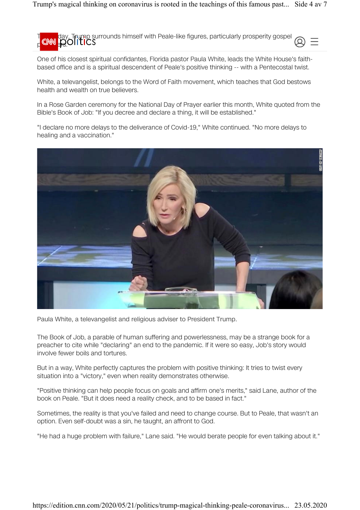T<sub>o an</sub> day, Trump surrounds himself with Peale-like figures, particularly prosperity gospel prediges.

One of his closest spiritual confidantes, Florida pastor Paula White, leads the White House's faithbased office and is a spiritual descendent of Peale's positive thinking -- with a Pentecostal twist.

White, a televangelist, belongs to the Word of Faith movement, which teaches that God bestows health and wealth on true believers.

In a Rose Garden ceremony for the National Day of Prayer earlier this month, White quoted from the Bible's Book of Job: "If you decree and declare a thing, it will be established."

"I declare no more delays to the deliverance of Covid-19," White continued. "No more delays to healing and a vaccination."



Paula White, a televangelist and religious adviser to President Trump.

The Book of Job, a parable of human suffering and powerlessness, may be a strange book for a preacher to cite while "declaring" an end to the pandemic. If it were so easy, Job's story would involve fewer boils and tortures.

But in a way, White perfectly captures the problem with positive thinking: It tries to twist every situation into a "victory," even when reality demonstrates otherwise.

"Positive thinking can help people focus on goals and affirm one's merits," said Lane, author of the book on Peale. "But it does need a reality check, and to be based in fact."

Sometimes, the reality is that you've failed and need to change course. But to Peale, that wasn't an option. Even self-doubt was a sin, he taught, an affront to God.

"He had a huge problem with failure," Lane said. "He would berate people for even talking about it."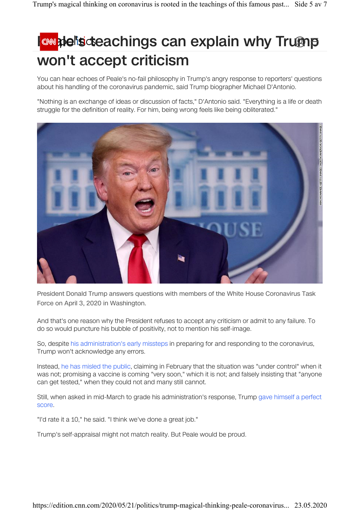## **E** explain why Trump won't accept criticism

You can hear echoes of Peale's no-fail philosophy in Trump's angry response to reporters' questions about his handling of the coronavirus pandemic, said Trump biographer Michael D'Antonio.

"Nothing is an exchange of ideas or discussion of facts," D'Antonio said. "Everything is a life or death struggle for the definition of reality. For him, being wrong feels like being obliterated."



President Donald Trump answers questions with members of the White House Coronavirus Task Force on April 3, 2020 in Washington.

And that's one reason why the President refuses to accept any criticism or admit to any failure. To do so would puncture his bubble of positivity, not to mention his self-image.

So, despite his administration's early missteps in preparing for and responding to the coronavirus, Trump won't acknowledge any errors.

Instead, he has misled the public, claiming in February that the situation was "under control" when it was not; promising a vaccine is coming "very soon," which it is not; and falsely insisting that "anyone can get tested," when they could not and many still cannot.

Still, when asked in mid-March to grade his administration's response, Trump gave himself a perfect score.

"I'd rate it a 10," he said. "I think we've done a great job."

Trump's self-appraisal might not match reality. But Peale would be proud.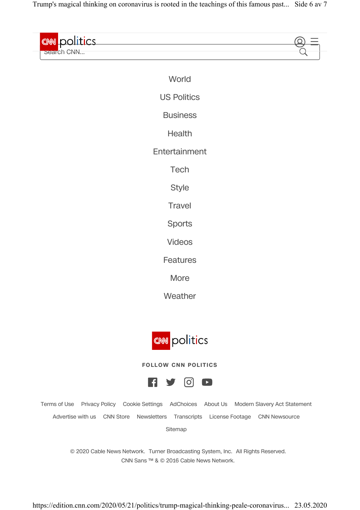Trump's magical thinking on coronavirus is rooted in the teachings of this famous past... Side 6 av 7

| <b>EMM</b> notities |          |  |
|---------------------|----------|--|
| bearch CNN          |          |  |
|                     |          |  |
|                     | $\cdots$ |  |

| World              |  |
|--------------------|--|
| <b>US Politics</b> |  |
| <b>Business</b>    |  |
| Health             |  |
| Entertainment      |  |
| Tech               |  |
| <b>Style</b>       |  |
| <b>Travel</b>      |  |
| <b>Sports</b>      |  |
| <b>Videos</b>      |  |
| Features           |  |
| More               |  |

Weather



**FOLLOW CNN POLITICS**



Terms of Use Privacy Policy Cookie Settings AdChoices About Us Modern Slavery Act Statement Advertise with us CNN Store Newsletters Transcripts License Footage CNN Newsource Sitemap

> © 2020 Cable News Network. Turner Broadcasting System, Inc. All Rights Reserved. CNN Sans ™ & © 2016 Cable News Network.